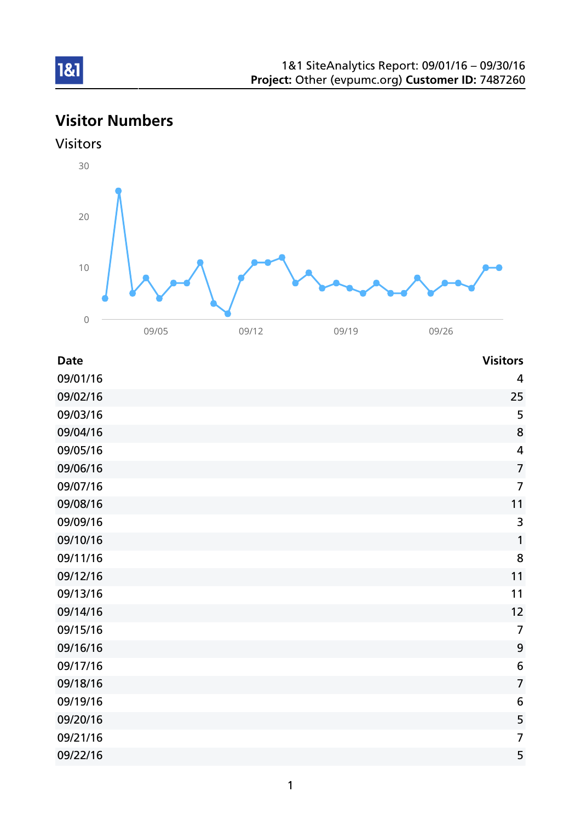# Visitor Numbers



| <b>Date</b> | <b>Visitors</b> |
|-------------|-----------------|
| 09/01/16    | $\overline{4}$  |
| 09/02/16    | 25              |
| 09/03/16    | 5               |
| 09/04/16    | 8               |
| 09/05/16    | $\overline{4}$  |
| 09/06/16    | $\overline{7}$  |
| 09/07/16    | $\overline{7}$  |
| 09/08/16    | 11              |
| 09/09/16    | 3               |
| 09/10/16    | 1               |
| 09/11/16    | 8               |
| 09/12/16    | 11              |
| 09/13/16    | 11              |
| 09/14/16    | 12              |
| 09/15/16    | $\overline{7}$  |
| 09/16/16    | $\mathbf{9}$    |
| 09/17/16    | $6\phantom{1}6$ |
| 09/18/16    | $\overline{7}$  |
| 09/19/16    | 6               |
| 09/20/16    | 5               |
| 09/21/16    | $\overline{7}$  |
| 09/22/16    | 5               |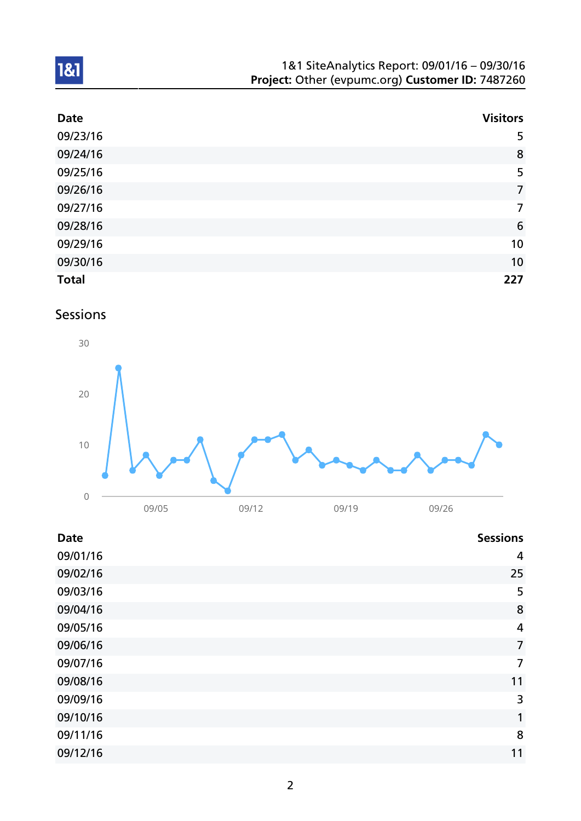| 1&1 SiteAnalytics Report: 09/01/16 - 09/30/16    |  |
|--------------------------------------------------|--|
| Project: Other (evpumc.org) Customer ID: 7487260 |  |

| <b>Date</b>  | <b>Visitors</b> |
|--------------|-----------------|
| 09/23/16     | 5               |
| 09/24/16     | 8               |
| 09/25/16     | 5               |
| 09/26/16     | $\overline{7}$  |
| 09/27/16     | $\overline{7}$  |
| 09/28/16     | 6               |
| 09/29/16     | 10              |
| 09/30/16     | 10              |
| <b>Total</b> | 227             |

## Sessions



| <b>Date</b> | <b>Sessions</b> |
|-------------|-----------------|
| 09/01/16    | 4               |
| 09/02/16    | 25              |
| 09/03/16    | 5               |
| 09/04/16    | 8               |
| 09/05/16    | 4               |
| 09/06/16    | $\overline{7}$  |
| 09/07/16    | $\overline{7}$  |
| 09/08/16    | 11              |
| 09/09/16    | 3               |
| 09/10/16    | 1               |
| 09/11/16    | 8               |
| 09/12/16    | 11              |
|             |                 |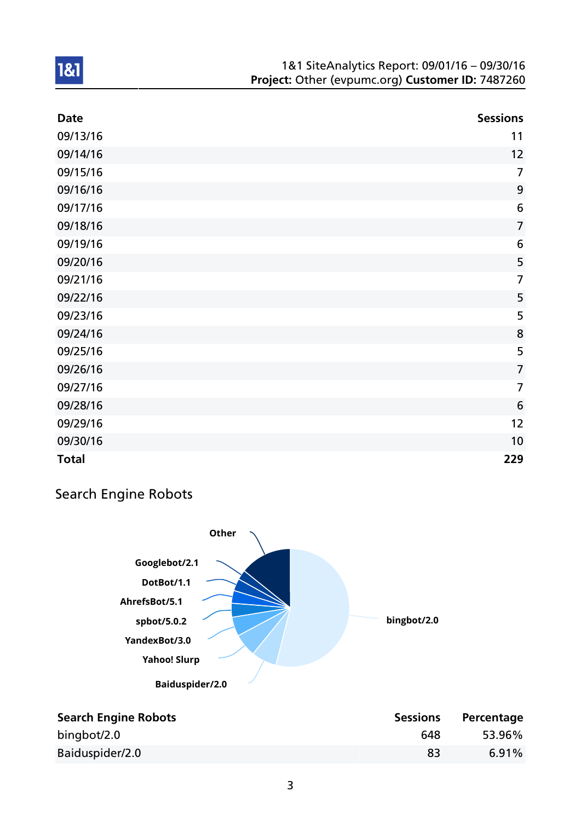| <b>Date</b>  | <b>Sessions</b>  |
|--------------|------------------|
| 09/13/16     | 11               |
| 09/14/16     | 12               |
| 09/15/16     | $\overline{7}$   |
| 09/16/16     | 9                |
| 09/17/16     | 6                |
| 09/18/16     | $\overline{7}$   |
| 09/19/16     | $\boldsymbol{6}$ |
| 09/20/16     | 5                |
| 09/21/16     | $\overline{7}$   |
| 09/22/16     | 5                |
| 09/23/16     | 5                |
| 09/24/16     | 8                |
| 09/25/16     | 5                |
| 09/26/16     | $\overline{7}$   |
| 09/27/16     | $\overline{7}$   |
| 09/28/16     | 6                |
| 09/29/16     | 12               |
| 09/30/16     | 10               |
| <b>Total</b> | 229              |

## Search Engine Robots



| <b>Search Engine Robots</b> | <b>Sessions</b> | Percentage |
|-----------------------------|-----------------|------------|
| bingbot/2.0                 | 648             | 53.96%     |
| Baiduspider/2.0             | 83              | 6.91%      |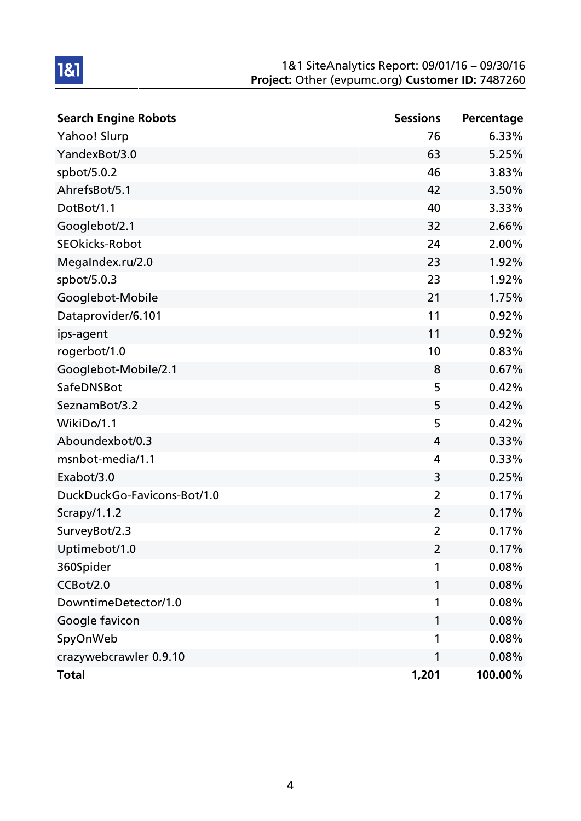| <b>Search Engine Robots</b> | <b>Sessions</b> | Percentage |
|-----------------------------|-----------------|------------|
| Yahoo! Slurp                | 76              | 6.33%      |
| YandexBot/3.0               | 63              | 5.25%      |
| spbot/5.0.2                 | 46              | 3.83%      |
| AhrefsBot/5.1               | 42              | 3.50%      |
| DotBot/1.1                  | 40              | 3.33%      |
| Googlebot/2.1               | 32              | 2.66%      |
| <b>SEOkicks-Robot</b>       | 24              | 2.00%      |
| MegaIndex.ru/2.0            | 23              | 1.92%      |
| spbot/5.0.3                 | 23              | 1.92%      |
| Googlebot-Mobile            | 21              | 1.75%      |
| Dataprovider/6.101          | 11              | 0.92%      |
| ips-agent                   | 11              | 0.92%      |
| rogerbot/1.0                | 10              | 0.83%      |
| Googlebot-Mobile/2.1        | 8               | 0.67%      |
| SafeDNSBot                  | 5               | 0.42%      |
| SeznamBot/3.2               | 5               | 0.42%      |
| WikiDo/1.1                  | 5               | 0.42%      |
| Aboundexbot/0.3             | 4               | 0.33%      |
| msnbot-media/1.1            | 4               | 0.33%      |
| Exabot/3.0                  | 3               | 0.25%      |
| DuckDuckGo-Favicons-Bot/1.0 | $\overline{2}$  | 0.17%      |
| Scrapy/1.1.2                | $\overline{2}$  | 0.17%      |
| SurveyBot/2.3               | $\overline{2}$  | 0.17%      |
| Uptimebot/1.0               | $\overline{2}$  | 0.17%      |
| 360Spider                   | 1               | 0.08%      |
| CCBot/2.0                   | 1               | 0.08%      |
| DowntimeDetector/1.0        | 1               | 0.08%      |
| Google favicon              | 1               | 0.08%      |
| SpyOnWeb                    | 1               | 0.08%      |
| crazywebcrawler 0.9.10      | 1               | 0.08%      |
| <b>Total</b>                | 1,201           | 100.00%    |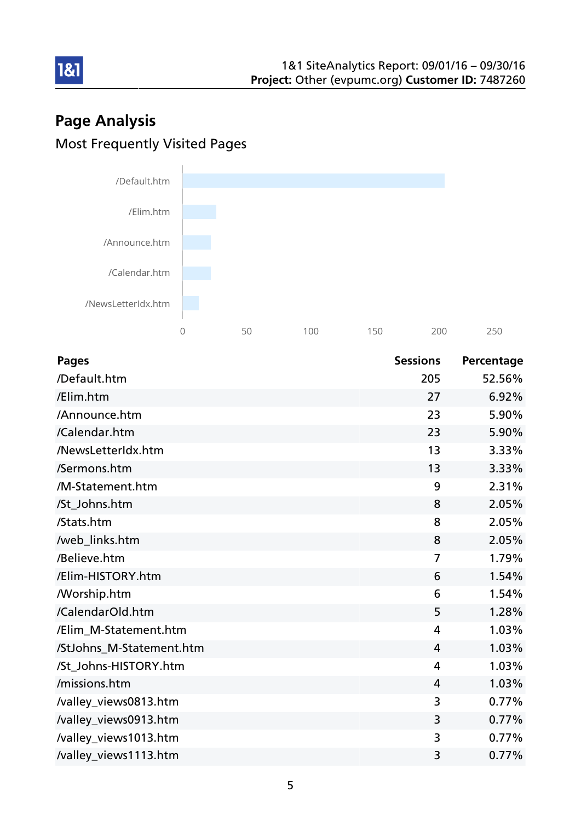# Page Analysis Most Frequently Visited Pages

181



| <b>Pages</b>             | <b>Sessions</b> | Percentage |
|--------------------------|-----------------|------------|
| /Default.htm             | 205             | 52.56%     |
| /Elim.htm                | 27              | 6.92%      |
| /Announce.htm            | 23              | 5.90%      |
| /Calendar.htm            | 23              | 5.90%      |
| /NewsLetterIdx.htm       | 13              | 3.33%      |
| /Sermons.htm             | 13              | 3.33%      |
| /M-Statement.htm         | 9               | 2.31%      |
| /St_Johns.htm            | 8               | 2.05%      |
| /Stats.htm               | 8               | 2.05%      |
| /web_links.htm           | 8               | 2.05%      |
| /Believe.htm             | $\overline{7}$  | 1.79%      |
| /Elim-HISTORY.htm        | 6               | 1.54%      |
| <b>Morship.htm</b>       | 6               | 1.54%      |
| /CalendarOld.htm         | 5               | 1.28%      |
| /Elim_M-Statement.htm    | 4               | 1.03%      |
| /StJohns M-Statement.htm | $\overline{4}$  | 1.03%      |
| /St_Johns-HISTORY.htm    | $\overline{4}$  | 1.03%      |
| /missions.htm            | 4               | 1.03%      |
| /valley_views0813.htm    | 3               | 0.77%      |
| /valley_views0913.htm    | 3               | 0.77%      |
| /valley_views1013.htm    | 3               | 0.77%      |
| /valley_views1113.htm    | 3               | 0.77%      |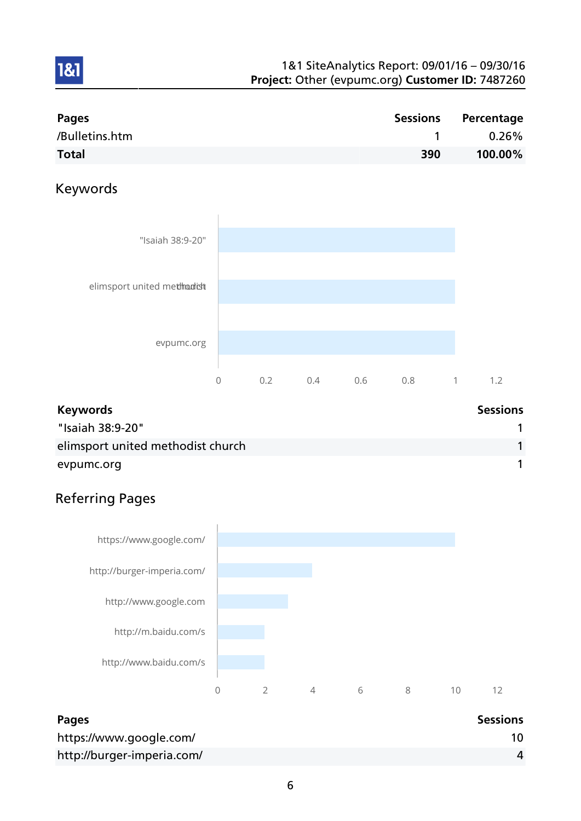| <b>Pages</b>   |     | Sessions Percentage |
|----------------|-----|---------------------|
| /Bulletins.htm |     | $0.26\%$            |
| <b>Total</b>   | 390 | 100.00%             |

## Keywords

1&1



| <b>Keywords</b>                   | <b>Sessions</b> |
|-----------------------------------|-----------------|
| "Isaiah 38:9-20"                  |                 |
| elimsport united methodist church |                 |
| evpumc.org                        |                 |

# Referring Pages



| <b>Pages</b>               | <b>Sessions</b> |
|----------------------------|-----------------|
| https://www.google.com/    |                 |
| http://burger-imperia.com/ |                 |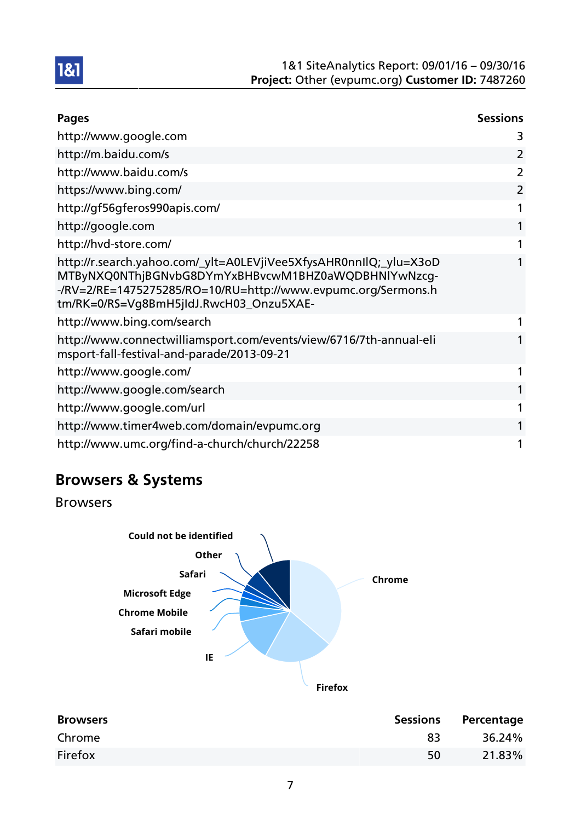

| <b>Pages</b>                                                                                                                                                                                                                         | <b>Sessions</b> |
|--------------------------------------------------------------------------------------------------------------------------------------------------------------------------------------------------------------------------------------|-----------------|
| http://www.google.com                                                                                                                                                                                                                | 3               |
| http://m.baidu.com/s                                                                                                                                                                                                                 | 2               |
| http://www.baidu.com/s                                                                                                                                                                                                               | 2               |
| https://www.bing.com/                                                                                                                                                                                                                | 2               |
| http://gf56gferos990apis.com/                                                                                                                                                                                                        | 1               |
| http://google.com                                                                                                                                                                                                                    | 1               |
| http://hvd-store.com/                                                                                                                                                                                                                | 1               |
| http://r.search.yahoo.com/_ylt=A0LEVjiVee5XfysAHR0nnIlQ;_ylu=X3oD<br>MTByNXQ0NThjBGNvbG8DYmYxBHBvcwM1BHZ0aWQDBHNlYwNzcg-<br>-/RV=2/RE=1475275285/RO=10/RU=http://www.evpumc.org/Sermons.h<br>tm/RK=0/RS=Vg8BmH5jIdJ.RwcH03_Onzu5XAE- | 1               |
| http://www.bing.com/search                                                                                                                                                                                                           | 1               |
| http://www.connectwilliamsport.com/events/view/6716/7th-annual-eli<br>msport-fall-festival-and-parade/2013-09-21                                                                                                                     | 1               |
| http://www.google.com/                                                                                                                                                                                                               | 1               |
| http://www.google.com/search                                                                                                                                                                                                         | 1               |
| http://www.google.com/url                                                                                                                                                                                                            |                 |
| http://www.timer4web.com/domain/evpumc.org                                                                                                                                                                                           | 1               |
| http://www.umc.org/find-a-church/church/22258                                                                                                                                                                                        | 1               |

# Browsers & Systems

Browsers



| <b>Browsers</b> | <b>Sessions</b> | Percentage |
|-----------------|-----------------|------------|
| Chrome          | 83              | 36.24%     |
| Firefox         | 50              | 21.83%     |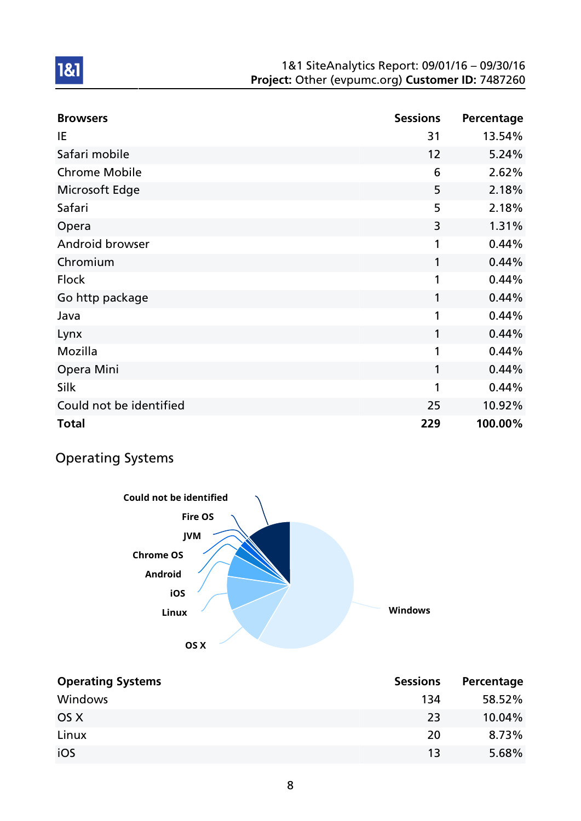| <b>Browsers</b>         | <b>Sessions</b> | Percentage |
|-------------------------|-----------------|------------|
| IE                      | 31              | 13.54%     |
| Safari mobile           | 12              | 5.24%      |
| <b>Chrome Mobile</b>    | 6               | 2.62%      |
| Microsoft Edge          | 5               | 2.18%      |
| Safari                  | 5               | 2.18%      |
| Opera                   | 3               | 1.31%      |
| Android browser         | 1               | 0.44%      |
| Chromium                | 1               | 0.44%      |
| <b>Flock</b>            | 1               | 0.44%      |
| Go http package         | 1               | 0.44%      |
| Java                    | 1               | 0.44%      |
| Lynx                    | 1               | 0.44%      |
| Mozilla                 | 1               | 0.44%      |
| Opera Mini              | 1               | 0.44%      |
| Silk                    | 1               | 0.44%      |
| Could not be identified | 25              | 10.92%     |
| <b>Total</b>            | 229             | 100.00%    |

# Operating Systems



| <b>Operating Systems</b> | <b>Sessions</b> | Percentage |
|--------------------------|-----------------|------------|
| Windows                  | 134             | 58.52%     |
| OS X                     | 23              | 10.04%     |
| Linux                    | 20              | 8.73%      |
| iOS                      | 13              | 5.68%      |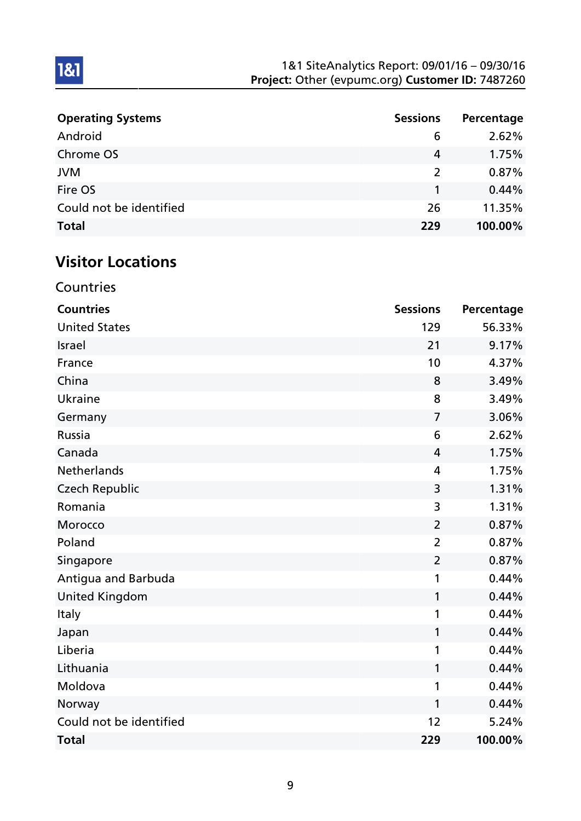| <b>Operating Systems</b> | <b>Sessions</b> | Percentage |
|--------------------------|-----------------|------------|
| Android                  | 6               | 2.62%      |
| Chrome OS                | 4               | 1.75%      |
| <b>JVM</b>               | $\mathcal{L}$   | $0.87\%$   |
| Fire OS                  |                 | 0.44%      |
| Could not be identified  | 26              | 11.35%     |
| <b>Total</b>             | 229             | 100.00%    |

# Visitor Locations

**Countries** 

| <b>Countries</b>        | <b>Sessions</b> | Percentage |
|-------------------------|-----------------|------------|
| <b>United States</b>    | 129             | 56.33%     |
| <b>Israel</b>           | 21              | 9.17%      |
| France                  | 10              | 4.37%      |
| China                   | 8               | 3.49%      |
| Ukraine                 | 8               | 3.49%      |
| Germany                 | $\overline{7}$  | 3.06%      |
| Russia                  | 6               | 2.62%      |
| Canada                  | 4               | 1.75%      |
| Netherlands             | $\overline{4}$  | 1.75%      |
| <b>Czech Republic</b>   | 3               | 1.31%      |
| Romania                 | 3               | 1.31%      |
| Morocco                 | $\overline{2}$  | 0.87%      |
| Poland                  | $\overline{2}$  | 0.87%      |
| Singapore               | $\overline{2}$  | 0.87%      |
| Antigua and Barbuda     | 1               | 0.44%      |
| <b>United Kingdom</b>   | 1               | 0.44%      |
| Italy                   | 1               | 0.44%      |
| Japan                   | 1               | 0.44%      |
| Liberia                 | 1               | 0.44%      |
| Lithuania               | 1               | 0.44%      |
| Moldova                 | 1               | 0.44%      |
| Norway                  | 1               | 0.44%      |
| Could not be identified | 12              | 5.24%      |
| <b>Total</b>            | 229             | 100.00%    |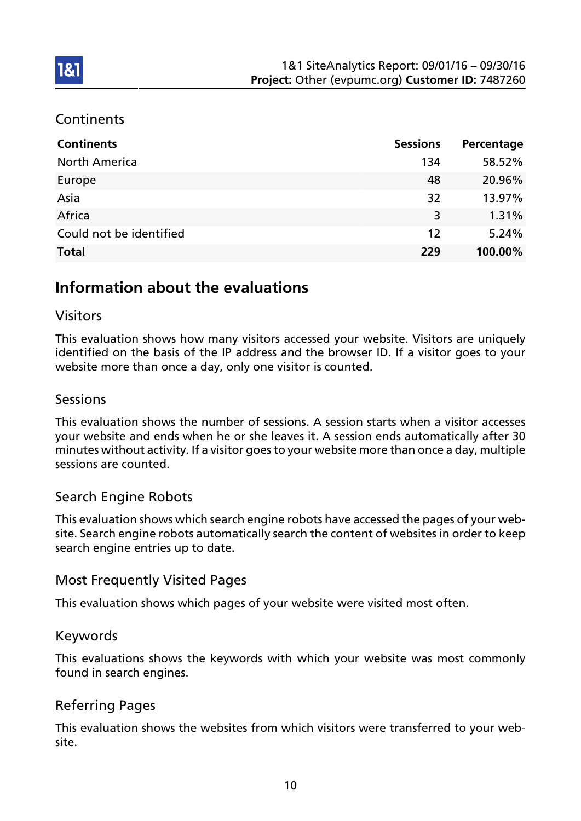### **Continents**

**1&1** 

| <b>Continents</b>       | <b>Sessions</b> | Percentage |
|-------------------------|-----------------|------------|
| <b>North America</b>    | 134             | 58.52%     |
| Europe                  | 48              | 20.96%     |
| Asia                    | 32              | 13.97%     |
| Africa                  | 3               | 1.31%      |
| Could not be identified | 12              | 5.24%      |
| <b>Total</b>            | 229             | 100.00%    |

## Information about the evaluations

### Visitors

This evaluation shows how many visitors accessed your website. Visitors are uniquely identified on the basis of the IP address and the browser ID. If a visitor goes to your website more than once a day, only one visitor is counted.

### **Sessions**

This evaluation shows the number of sessions. A session starts when a visitor accesses your website and ends when he or she leaves it. A session ends automatically after 30 minutes without activity. If a visitor goes to your website more than once a day, multiple sessions are counted.

### Search Engine Robots

This evaluation shows which search engine robots have accessed the pages of your website. Search engine robots automatically search the content of websites in order to keep search engine entries up to date.

#### Most Frequently Visited Pages

This evaluation shows which pages of your website were visited most often.

#### Keywords

This evaluations shows the keywords with which your website was most commonly found in search engines.

### Referring Pages

This evaluation shows the websites from which visitors were transferred to your website.